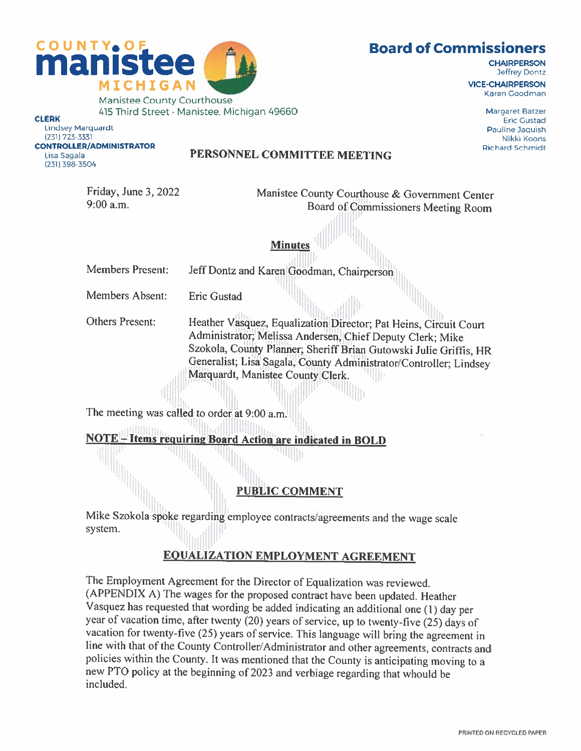

**Board of Commissioners** 

**CHAIRPERSON Jeffrey Dontz** 

Karen Goodman

Manistee County Courthouse 415 Third Street . Manistee, Michigan 49660 Magaret Batzer Encycle Magaret Batzer<br>Eric Gustad<br>Lindsey Marquardt Pauline Jaquish

Lindsey Marquardt Paui1ne Daquish (231) 723-3331 Nikki Koons (231) 398-3504

#### CONTROLLER/ADMINISTRATOR<br>Lisa Sagala Richard Schmidt PERSONNEL COMMITTEE MEETING

Friday, June 3, 2022<br>9:00 a.m. Roard of County Courthouse & Government Center<br>Roard of Commissioners Meeting Boom Board of Commissioners Meeting Room

Members Present: Jeff Dontz and Karen Goodman, Chairperson

Minutes

Members Absent: Eric Gustad

Others Present: Heather Vasquez, Equalization Director; Pat Heins, Circuit Court Administrator; Melissa Andersen, Chief Deputy Clerk; Mike Szokola, County Planner; Sheriff Brian Gutowski Julie Griffis, HR Generalist; Lisa Sagala, County Administrator/Controller; Lindsey Marquardt, Manistee County Clerk.

The meeting was called to order at 9:00 a.m.

**NOTE** - Items requiring Board Action are indicated in BOLD

ttii IIli

# PUBLIC COMMENT

Mike Szokola spoke regarding employee contracts/agreements and the wage scale system.

# **EQUALIZATION EMPLOYMENT AGREEMENT**

The Employment Agreement for the Director of Equalization was reviewed. (APPENDIX A) The wages for the proposed contract have been updated. Heather Vasquez has requested that wording be added indicating an additional one (1) day per vacation for twenty-five (25) years of service. This language will bring the agreement in line with that of the County Controller/Administrator and other agreements. contracts and policies within the County. It was mentioned that the County is anticipating moving to <sup>a</sup> new PTO policy at the beginning of <sup>2023</sup> and verbiage regarding that whould be included.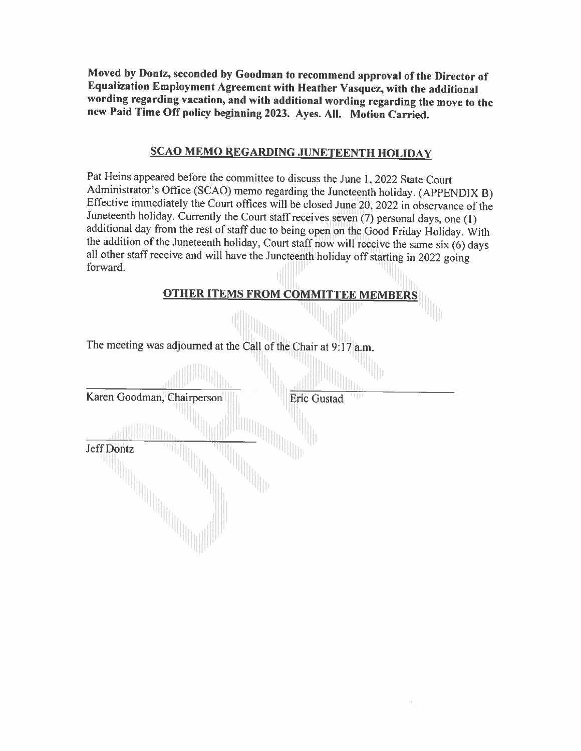Moved by Dontz, seconded by Goodman to recommend approval of the Director of Equalization Employment Agreement with Heather Vasquez, with the additional wording regarding vacation, and with additional wording regarding the move to the new Paid Time Off policy beginning 2023. Ayes. All. Motion Carried.

# SCAO MEMO REGARDING JUNETEENTH HOLIDAY

Pat Heins appeared before the committee to discuss the June 1, 2022 State Court<br>Administrator's Office (SCAO) memo regarding the Juneteenth holiday. (APPENDIX B) Effective immediately the Court offices will be closed June 20, 2022 in observance of the Juneteenth holiday. Currently the Court staff receives seven  $(7)$  personal days, one  $(1)$ additional day from the rest of staff due to being open on the Good Friday Holiday. With<br>the addition of the Juneteenth holiday, Court staff now will receive the same six (6) days<br>all other staff receive and will have the

| <b>OTHER ITEMS FROM COMMITTEE MEMBERS</b>                       |
|-----------------------------------------------------------------|
|                                                                 |
| The meeting was adjourned at the Call of the Chair at 9:17 a.m. |
|                                                                 |
| Karen Goodman, Chairperson<br><b>Eric Gustad</b>                |
|                                                                 |
| Jeff Dontz                                                      |
|                                                                 |
|                                                                 |
|                                                                 |
|                                                                 |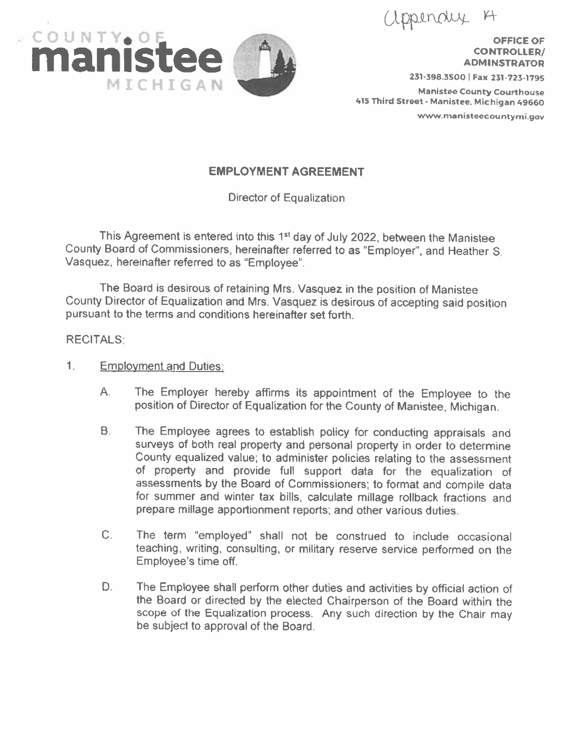appendux



**CONTROLLER/ ADMINSTRATOR** 

<sup>415</sup> Third Street. Manistee, Michigan <sup>49660</sup>

www.manisteecountymi.gov

# EMPLOYMENT AGREEMENT

Director of Equalization

This Agreement is entered into this 1<sup>st</sup> day of July 2022, between the Manistee County Board of Commissioners, hereinafter referred to as 'Employer', and Heather S. Vasquez, hereinafter referred to as 'Employee".

The Board is desirous of retaining Mrs. Vasquez in the position of Manistee County Director of Equalization and Mrs. Vasquez is desirous of accepting said position pursuant to the terms and conditions hereinafter set forth

### RECITALS:

- 1. Employment and Duties:
	- A. The Employer hereby affirms its appointment of the Employee to the position of Director of Equalization for the County of Manistee, Michigan.
	- B. The Employee agrees to establish policy for conducting appraisals and surveys of both real property and personal property in order to determine County equalized value; to administer policies relating to the assessment of property and provide full support data for the equalization of assessments by the Board of Commissioners; to format and compile data for summer and winter tax bills, calculate millage rollback fractions and prepare millage apportionment reports; and other various duties.
	- C. The term "employed" shall not be construed to include occasional teaching, writing, consulting, or military reserve service performed on the Employee's time off.
	- D. The Employee shall perform other duties and activities by official action of the Board or directed by the elected Chairperson of the Board within the scope of the Equalization process. Any such direction by the Chair may be subject to approval of the Board.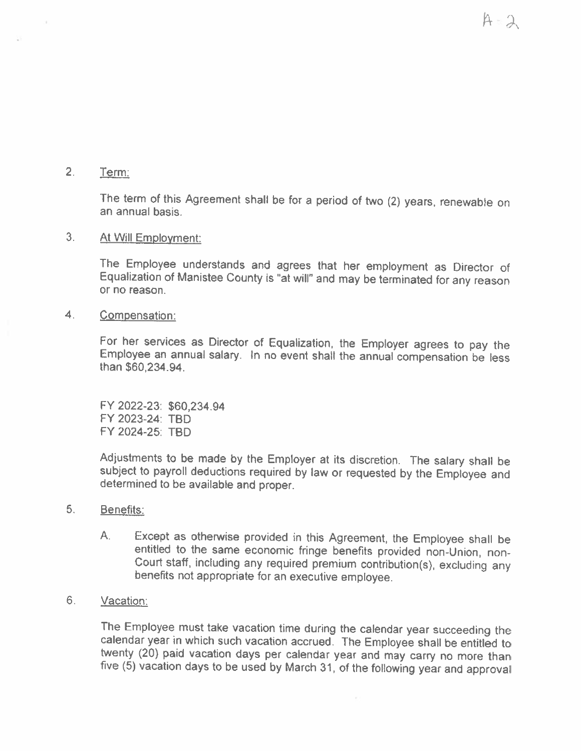2. Term.

The term of this Agreement shall be for <sup>a</sup> period of two (2) years. renewable on an annual basis.

# 3. At Will Employment:

The Employee understands and agrees that her employment as Director of Equalization of Manistee County is "at will" and may be terminated for any reason or no reason.

4. Compensation:

For her services as Director of Equalization, the Employer agrees to pay the Employee an annual salary. In no event shall the annual compensation be less than \$60,234.94.

FY 2022-23: \$60,234.94 FY 2023-24: TBD FY 2024-25: TBD

Adjustments to be made by the Employer at its discretion. The salary shall be subject to payroll deductions required by law or requested by the Employee and determined to be available and proper.

- 5. Benefits:
	- A. Except as otherwise provided in this Agreement, the Employee shall be entitled to the same economic fringe benefits provided non-Union, non-Court staff, including any required premium contribution(s), excluding any benefits not appropriate for an executive employee.
- 6. Vacation:

The Employee must take vacation time during the calendar year succeeding the calendar year in which such vacation accrued. The Employee shall be entitled to five (5) vacation days to be used by March 31, of the following year and approval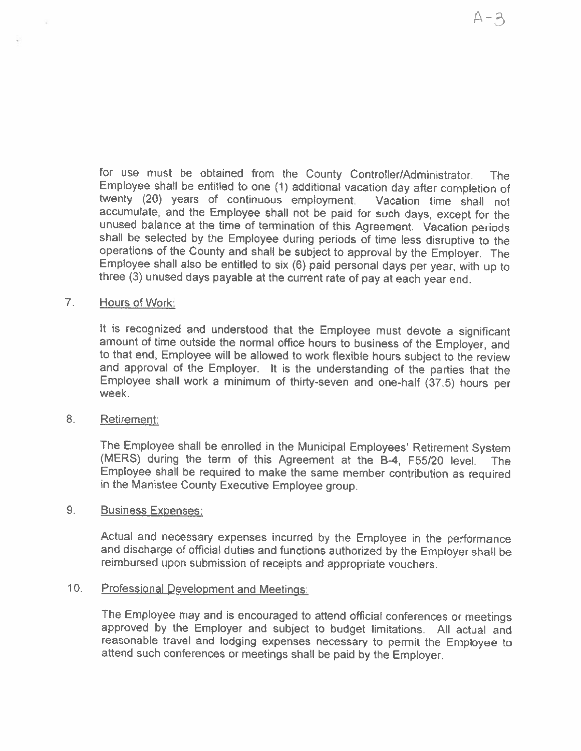for use must be obtained from the County Controller/Administrator. The Employee shall be entitled to one (1) additional vacation day after completion of twenty (20) years of continuous employment. Vacation time shall not accumulate, and the Employee shall not be paid for such days, except for the unused balance at the time of termination of this Agreement. Vacation periods shall be selected by the Employee during periods of time less disruptive to the operations of the County and shall be subject to approval by the three (3) unused days payable at the current rate of pay at each year end.

#### 7. Hours of Work;

It is recognized and understood that the Employee must devote <sup>a</sup> significant amount of time outside the normal office hours to business of the Employer, and to that end, Employee will be allowed to work flexible hours subject to the review and approval of the Employer. It is the understanding of the parties that the Employee shall work <sup>a</sup> minimum of thirty-seven and one-half (37.5) hours per week.

### 8. Retirement:

The Employee shall be enrolled in the Municipal Employees' Retirement System (MERS) during the term of this Agreement at the B-4, F55/20 level. The Employee shall be required to make the same member contribution as required in the Manistee County Executive Employee group.

# 9. Business Expenses:

Actual and necessary expenses incurred by the Employee in the performance and discharge of official duties and functions authorized by the Employer shall be reimbursed upon submission of receipts and appropriate vouchers.

### 10, Professional Development and Meetings;

The Employee may and is encouraged to attend official conferences or meetings approved by the Employer and subject to budget limitations. All actual and reasonable travel and lodging expenses necessary to permit the Employee to attend such conferences or meetings shall be paid by the Employer.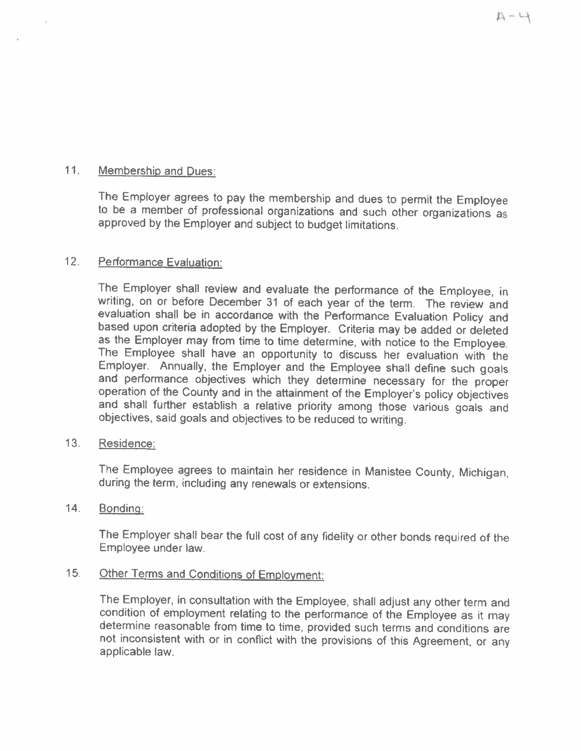# 11. Membership and Dues:

The Employer agrees to pay the membership and dues to permit the Employee to be <sup>a</sup> member of professional organizations and such other organizations as approved by the Employer and subiect to budget limitations.

# 12. Performance Evaluation:

The Employer shall review and evaluate the performance of the Employee, in writing, on or before December 31 of each year of the term. The review and evaluation shall be in accordance with the Performance Evaluation Policy based upon criteria adopted by the Employer. Criteria may be added or deleted as the Employer may from time to time determine, with notice to the Employee. The Employee shall have an opportunity to discuss her evaluation with the Employer. Annually, the Employer and the Employee shall define such goals and performance objectives which they determine necessary for the proper operation of the County and in the attainment of the Employer's policy objectives and shall further establish a relative priority among those various

### 13. Residence:

The Employee agrees to maintain her residence in Manistee County, Michigan, during the term, including any renewals or extensions.

### 14. Bonding:

The Employer shall bear the full cost of any fidelity or other bonds required of the Employee under law.

# 15. Other Terms and Conditions of Employment:

The Employer, in consultation with the Employee, shall adjust any other term and condition of employment relating to the performance of the Employee as it may determine reasonable from time to time, provided such terms and conditions are not inconsistent with or in conflict with the provisions of this Agreement, or any applicable law.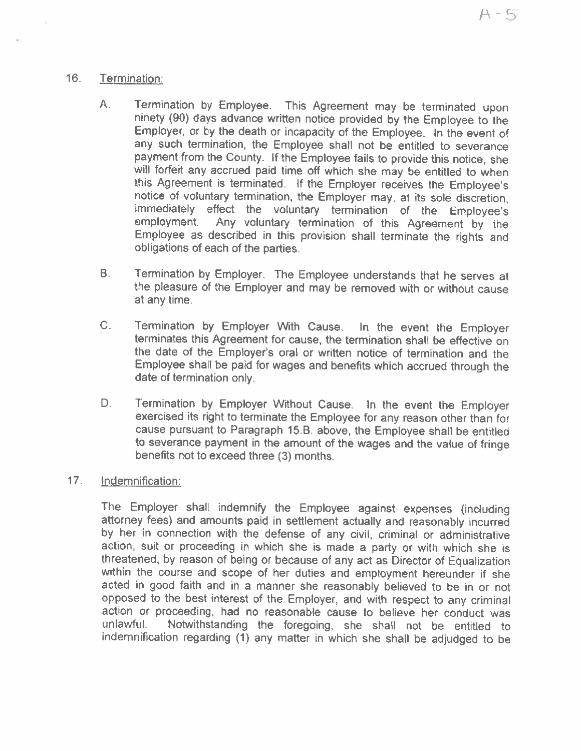# 16. Termination:

- A. Termination by Employee. This Agreement may be terminated upon ninety (90) days advance written notice provided by the Employee to the Employer, or by the death or incapacity of the Employee. In the event of any such termination, the Employee shall not be entitled to severance payment from the County. If the Employee fails to provide this notice, she will forfeit any accrued paid time off which she may be entitled to when this Agreement is terminated. If the Employer receives the Employee's notice of voluntary termination, the Employer may, at its sole discretion, immediately effect the voluntary termination of the Employee's employment. Any voluntary termination of this Agreement by the Employee as described in this provision shall terminate the rights and obligations of each of the parties.
- B. Termination by Employer. The Employee understands that he serves at the <sup>p</sup>leasure of the Employer and may be removed with or without cause at any time.
- C. Termination by Employer With Cause. In the event the Employer terminates this Agreement for cause, the termination shall be effective on the date of the Employer's oral or written notice of termination and the Employee shall be paid for wages and benefits which accrued through the date of termination only.
- D. Termination by Employer Without Cause. In the event the Employer exercised its right to terminate the Employee for any reason other than for cause pursuant to Paragraph 15,8. above, the Employee shall be entitled to severance payment in the amount of the wages and the value of fringe benefits not to exceed three (3) months.

# 17. Indemnification:

The Employer shalt indemnify the Employee against expenses (including attorney fees) and amounts paid in settlement actually and reasonably incurred by her in connection with the defense of any civil, criminal or administrative action, suit or proceeding in which she is made a party or with which she is threatened, by reason of being or because of any act as Director of Equalization within the course and scope of her duties and employment hereunder if she acted in good faith and in <sup>a</sup> manner she reasonably believed to be in or not opposed to the best interest of the Employer, and with respect to any criminal action or proceeding, had no reasonable cause to believe her conduct was unlawful, Notwithstanding the foregoing, she shall not be entitled to indemnification regarding (1) any matter in which she shal be adjudged to be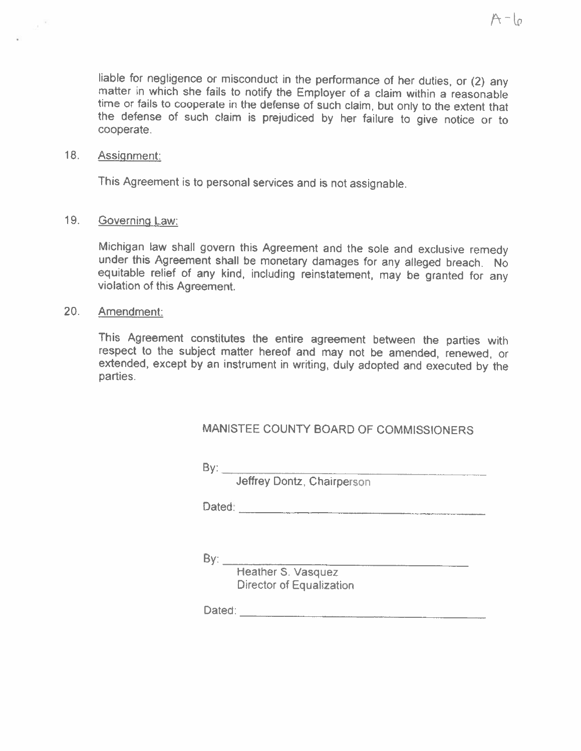liable for negligence or misconduct in the performance of her duties, or (2) any matter in which she fails to notify the Employer of a claim within a reasonable time or fails to cooperate in the defense of such claim, but the defense of such claim is prejudiced by her failure to give notice or to cooperate.

#### 18. Assignment:

This Agreement is to personal services and is not assignable.

#### 19. Governing Law:

Michigan law shall govern this Agreement and the sole and exclusive remedy under this Agreement shall be monetary damages for any alleged breach. No equitable relief of any kind, including reinstatement, may be granted for any violation of this Agreement.

#### 20. Amendment:

This Agreement constitutes the entire agreement between the parties with respect to the subject matter hereof and may not be amended, renewed, or extended, except by an instrument in writing, duly adopted and executed by the parties.

# MANISTEE COUNTY BOARD OF COMMISSIONERS

| v |  |
|---|--|

Jeffrey Dontz, Chairperson

Dated:

 $By:$ 

Heather S. Vasquez Director of Equalization

Dated: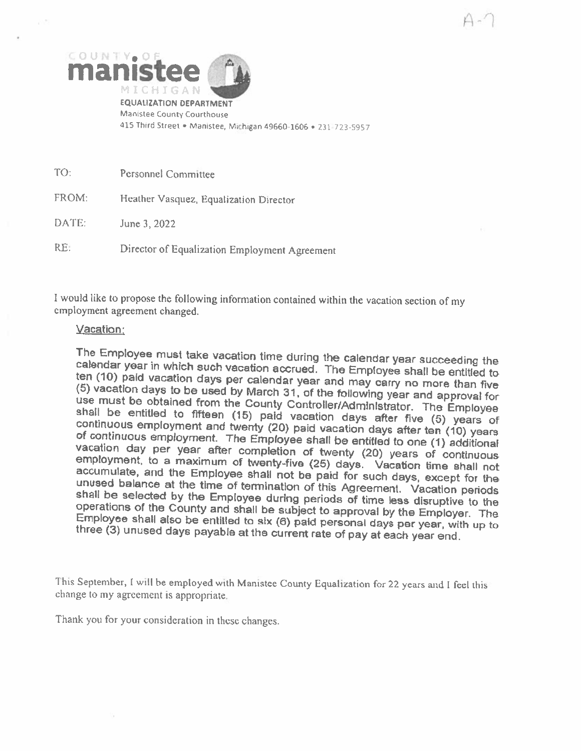

<sup>415</sup> Thtrd Street • Manistee, Michigan 49660-1606 • 231-723-5957

TO: Personnel Committee

FROM: Heather Vasquez, Equalization Director

DATE: June 3, <sup>2022</sup>

RE: Director of Equalization Employment Agreement

<sup>I</sup> would like to propose the following information contained within the vacation section of my employment agreement changed.

#### Vacation

The Employee must take vacation time during the calendar year succeeding the calendar year in which such vacation accrued. The Employee shall be entitled to ten (10) paid vacation days to bused by March 31, of the followi

This September, <sup>I</sup> will he employed with Manistee County Equalization for <sup>22</sup> years and <sup>I</sup> feel this change to my agreement is appropriate.

Thank you for your consideration in these changes.